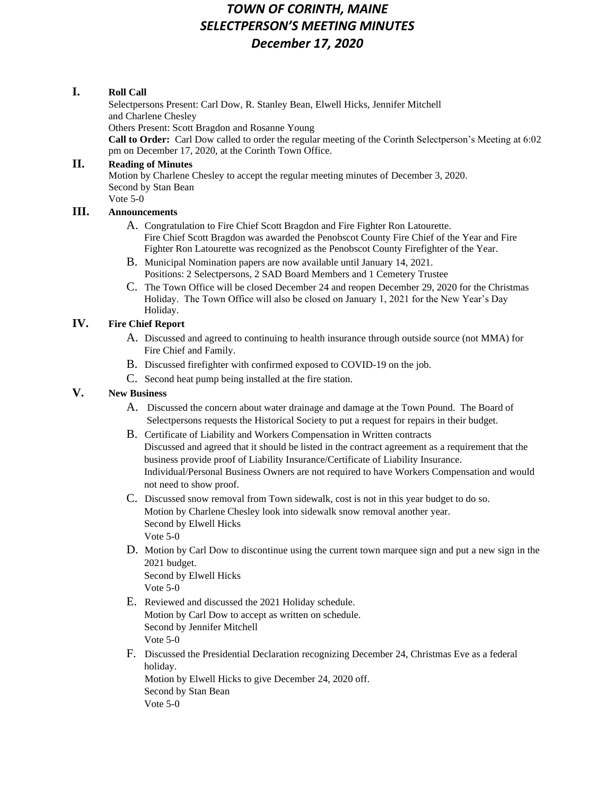# *TOWN OF CORINTH, MAINE SELECTPERSON'S MEETING MINUTES December 17, 2020*

## **I. Roll Call**

Selectpersons Present: Carl Dow, R. Stanley Bean, Elwell Hicks, Jennifer Mitchell and Charlene Chesley Others Present: Scott Bragdon and Rosanne Young **Call to Order:** Carl Dow called to order the regular meeting of the Corinth Selectperson's Meeting at 6:02 pm on December 17, 2020, at the Corinth Town Office.

#### **II. Reading of Minutes**

Motion by Charlene Chesley to accept the regular meeting minutes of December 3, 2020. Second by Stan Bean Vote 5-0

## **III. Announcements**

- A. Congratulation to Fire Chief Scott Bragdon and Fire Fighter Ron Latourette. Fire Chief Scott Bragdon was awarded the Penobscot County Fire Chief of the Year and Fire Fighter Ron Latourette was recognized as the Penobscot County Firefighter of the Year.
- B. Municipal Nomination papers are now available until January 14, 2021. Positions: 2 Selectpersons, 2 SAD Board Members and 1 Cemetery Trustee
- C. The Town Office will be closed December 24 and reopen December 29, 2020 for the Christmas Holiday. The Town Office will also be closed on January 1, 2021 for the New Year's Day Holiday.

## **IV. Fire Chief Report**

- A. Discussed and agreed to continuing to health insurance through outside source (not MMA) for Fire Chief and Family.
- B. Discussed firefighter with confirmed exposed to COVID-19 on the job.
- C. Second heat pump being installed at the fire station.

## **V. New Business**

- A. Discussed the concern about water drainage and damage at the Town Pound. The Board of Selectpersons requests the Historical Society to put a request for repairs in their budget.
- B. Certificate of Liability and Workers Compensation in Written contracts Discussed and agreed that it should be listed in the contract agreement as a requirement that the business provide proof of Liability Insurance/Certificate of Liability Insurance. Individual/Personal Business Owners are not required to have Workers Compensation and would not need to show proof.
- C. Discussed snow removal from Town sidewalk, cost is not in this year budget to do so. Motion by Charlene Chesley look into sidewalk snow removal another year. Second by Elwell Hicks Vote 5-0
- D. Motion by Carl Dow to discontinue using the current town marquee sign and put a new sign in the 2021 budget. Second by Elwell Hicks

Vote 5-0

- E. Reviewed and discussed the 2021 Holiday schedule. Motion by Carl Dow to accept as written on schedule. Second by Jennifer Mitchell Vote 5-0
- F. Discussed the Presidential Declaration recognizing December 24, Christmas Eve as a federal holiday.

Motion by Elwell Hicks to give December 24, 2020 off. Second by Stan Bean Vote 5-0